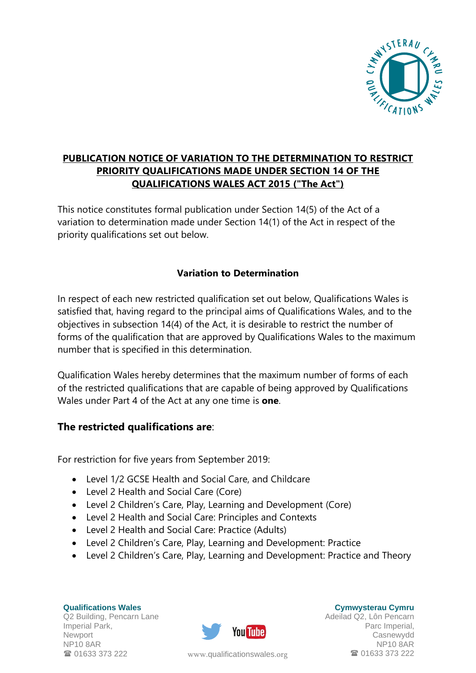

## **PUBLICATION NOTICE OF VARIATION TO THE DETERMINATION TO RESTRICT PRIORITY QUALIFICATIONS MADE UNDER SECTION 14 OF THE QUALIFICATIONS WALES ACT 2015 ("The Act")**

This notice constitutes formal publication under Section 14(5) of the Act of a variation to determination made under Section 14(1) of the Act in respect of the priority qualifications set out below.

## **Variation to Determination**

In respect of each new restricted qualification set out below, Qualifications Wales is satisfied that, having regard to the principal aims of Qualifications Wales, and to the objectives in subsection 14(4) of the Act, it is desirable to restrict the number of forms of the qualification that are approved by Qualifications Wales to the maximum number that is specified in this determination.

Qualification Wales hereby determines that the maximum number of forms of each of the restricted qualifications that are capable of being approved by Qualifications Wales under Part 4 of the Act at any one time is **one**.

## **The restricted qualifications are**:

For restriction for five years from September 2019:

- Level 1/2 GCSE Health and Social Care, and Childcare
- Level 2 Health and Social Care (Core)
- Level 2 Children's Care, Play, Learning and Development (Core)
- Level 2 Health and Social Care: Principles and Contexts
- Level 2 Health and Social Care: Practice (Adults)
- Level 2 Children's Care, Play, Learning and Development: Practice
- Level 2 Children's Care, Play, Learning and Development: Practice and Theory

**Qualifications Wales** Q2 Building, Pencarn Lane Imperial Park, Newport NP10 8AR <sup>3</sup> 01633 373 222



**Cymwysterau Cymru**

Adeilad Q2, Lôn Pencarn Parc Imperial, Casnewydd NP10 8AR www.[qualificationswales](http://qualificationswales.org/Splash).org **101633 373 222**